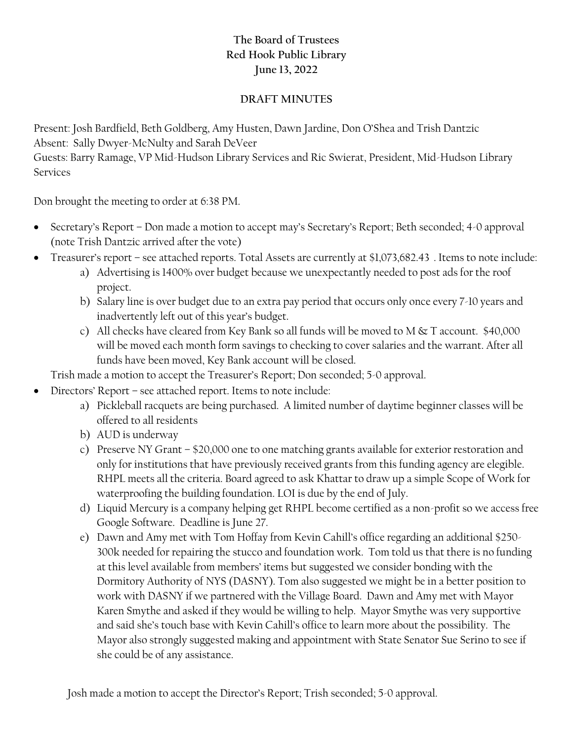## **The Board of Trustees Red Hook Public Library June 13, 2022**

## **DRAFT MINUTES**

Present: Josh Bardfield, Beth Goldberg, Amy Husten, Dawn Jardine, Don O'Shea and Trish Dantzic Absent: Sally Dwyer-McNulty and Sarah DeVeer Guests: Barry Ramage, VP Mid-Hudson Library Services and Ric Swierat, President, Mid-Hudson Library Services

Don brought the meeting to order at 6:38 PM.

- Secretary's Report Don made a motion to accept may's Secretary's Report; Beth seconded; 4-0 approval (note Trish Dantzic arrived after the vote)
- Treasurer's report see attached reports. Total Assets are currently at \$1,073,682.43. Items to note include:
	- a) Advertising is 1400% over budget because we unexpectantly needed to post ads for the roof project.
	- b) Salary line is over budget due to an extra pay period that occurs only once every 7-10 years and inadvertently left out of this year's budget.
	- c) All checks have cleared from Key Bank so all funds will be moved to M & T account. \$40,000 will be moved each month form savings to checking to cover salaries and the warrant. After all funds have been moved, Key Bank account will be closed.

Trish made a motion to accept the Treasurer's Report; Don seconded; 5-0 approval.

- Directors' Report see attached report. Items to note include:
	- a) Pickleball racquets are being purchased. A limited number of daytime beginner classes will be offered to all residents
	- b) AUD is underway
	- c) Preserve NY Grant \$20,000 one to one matching grants available for exterior restoration and only for institutions that have previously received grants from this funding agency are elegible. RHPL meets all the criteria. Board agreed to ask Khattar to draw up a simple Scope of Work for waterproofing the building foundation. LOI is due by the end of July.
	- d) Liquid Mercury is a company helping get RHPL become certified as a non-profit so we access free Google Software. Deadline is June 27.
	- e) Dawn and Amy met with Tom Hoffay from Kevin Cahill's office regarding an additional \$250- 300k needed for repairing the stucco and foundation work. Tom told us that there is no funding at this level available from members' items but suggested we consider bonding with the Dormitory Authority of NYS (DASNY). Tom also suggested we might be in a better position to work with DASNY if we partnered with the Village Board. Dawn and Amy met with Mayor Karen Smythe and asked if they would be willing to help. Mayor Smythe was very supportive and said she's touch base with Kevin Cahill's office to learn more about the possibility. The Mayor also strongly suggested making and appointment with State Senator Sue Serino to see if she could be of any assistance.

Josh made a motion to accept the Director's Report; Trish seconded; 5-0 approval.